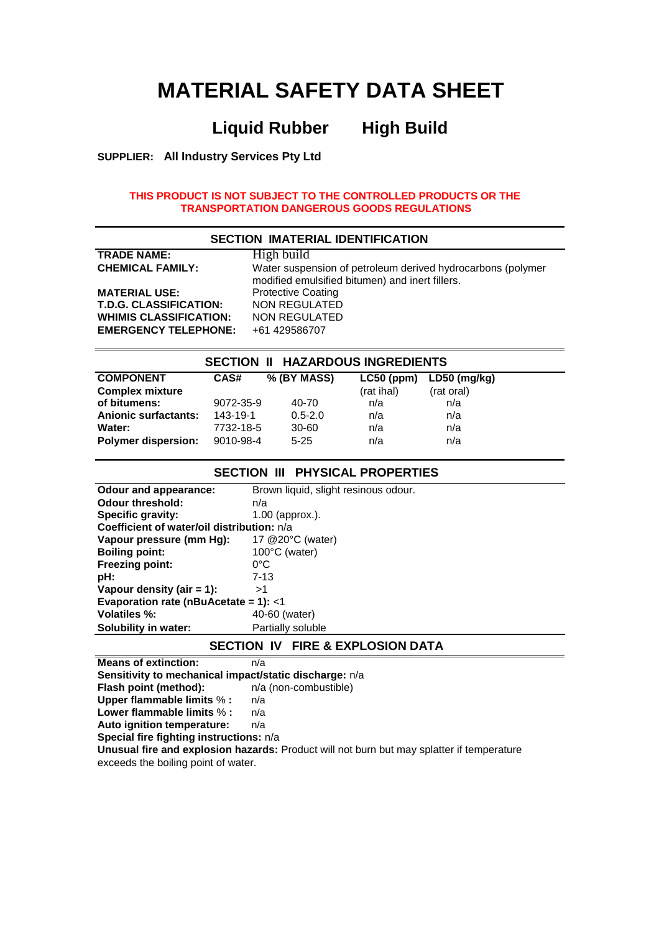# **MATERIAL SAFETY DATA SHEET**

# **Liquid Rubber High Build**

**SUPPLIER: All Industry Services Pty Ltd**

#### **THIS PRODUCT IS NOT SUBJECT TO THE CONTROLLED PRODUCTS OR THE TRANSPORTATION DANGEROUS GOODS REGULATIONS**

| <b>SECTION IMATERIAL IDENTIFICATION</b> |                                                                                                                |  |  |
|-----------------------------------------|----------------------------------------------------------------------------------------------------------------|--|--|
| <b>TRADE NAME:</b>                      | High build                                                                                                     |  |  |
| <b>CHEMICAL FAMILY:</b>                 | Water suspension of petroleum derived hydrocarbons (polymer<br>modified emulsified bitumen) and inert fillers. |  |  |
| <b>MATERIAL USE:</b>                    | <b>Protective Coating</b>                                                                                      |  |  |
| <b>T.D.G. CLASSIFICATION:</b>           | <b>NON REGULATED</b>                                                                                           |  |  |
| <b>WHIMIS CLASSIFICATION:</b>           | NON REGULATED                                                                                                  |  |  |
| <b>EMERGENCY TELEPHONE:</b>             | +61 429586707                                                                                                  |  |  |

| <b>SECTION II HAZARDOUS INGREDIENTS</b> |           |             |              |              |  |
|-----------------------------------------|-----------|-------------|--------------|--------------|--|
| <b>COMPONENT</b>                        | CAS#      | % (BY MASS) | $LC50$ (ppm) | LD50 (mg/kg) |  |
| <b>Complex mixture</b>                  |           |             | (rat ihal)   | (rat oral)   |  |
| of bitumens:                            | 9072-35-9 | 40-70       | n/a          | n/a          |  |
| <b>Anionic surfactants:</b>             | 143-19-1  | $0.5 - 2.0$ | n/a          | n/a          |  |
| Water:                                  | 7732-18-5 | 30-60       | n/a          | n/a          |  |
| <b>Polymer dispersion:</b>              | 9010-98-4 | $5 - 25$    | n/a          | n/a          |  |

#### **SECTION III PHYSICAL PROPERTIES**

| <b>Odour threshold:</b><br>n/a<br>Specific gravity:<br>$1.00$ (approx.).<br>Coefficient of water/oil distribution: n/a<br>Vapour pressure (mm Hg):<br>17 @ 20°C (water)<br><b>Boiling point:</b><br>100°C (water)<br><b>Freezing point:</b><br>0°C<br>$7 - 13$<br>pH:<br>Vapour density (air $= 1$ ):<br>>1<br>Evaporation rate (nBuAcetate = 1): $<$ 1<br><b>Volatiles %:</b><br>40-60 (water)<br>Partially soluble<br>Solubility in water: | Odour and appearance: | Brown liquid, slight resinous odour. |  |  |
|----------------------------------------------------------------------------------------------------------------------------------------------------------------------------------------------------------------------------------------------------------------------------------------------------------------------------------------------------------------------------------------------------------------------------------------------|-----------------------|--------------------------------------|--|--|
|                                                                                                                                                                                                                                                                                                                                                                                                                                              |                       |                                      |  |  |
|                                                                                                                                                                                                                                                                                                                                                                                                                                              |                       |                                      |  |  |
|                                                                                                                                                                                                                                                                                                                                                                                                                                              |                       |                                      |  |  |
|                                                                                                                                                                                                                                                                                                                                                                                                                                              |                       |                                      |  |  |
|                                                                                                                                                                                                                                                                                                                                                                                                                                              |                       |                                      |  |  |
|                                                                                                                                                                                                                                                                                                                                                                                                                                              |                       |                                      |  |  |
|                                                                                                                                                                                                                                                                                                                                                                                                                                              |                       |                                      |  |  |
|                                                                                                                                                                                                                                                                                                                                                                                                                                              |                       |                                      |  |  |
|                                                                                                                                                                                                                                                                                                                                                                                                                                              |                       |                                      |  |  |
|                                                                                                                                                                                                                                                                                                                                                                                                                                              |                       |                                      |  |  |
|                                                                                                                                                                                                                                                                                                                                                                                                                                              |                       |                                      |  |  |

#### **SECTION IV FIRE & EXPLOSION DATA**

**Means of extinction:** n/a **Sensitivity to mechanical impact/static discharge:**  $n/a$ <br>**Flash point (method):**  $n/a$  (non-combustible) **Flash point (method): Upper flammable limits** % **:** n/a **Lower flammable limits** % **:** n/a **Auto ignition temperature:** n/a **Special fire fighting instructions:** n/a **Unusual fire and explosion hazards:** Product will not burn but may splatter if temperature exceeds the boiling point of water.